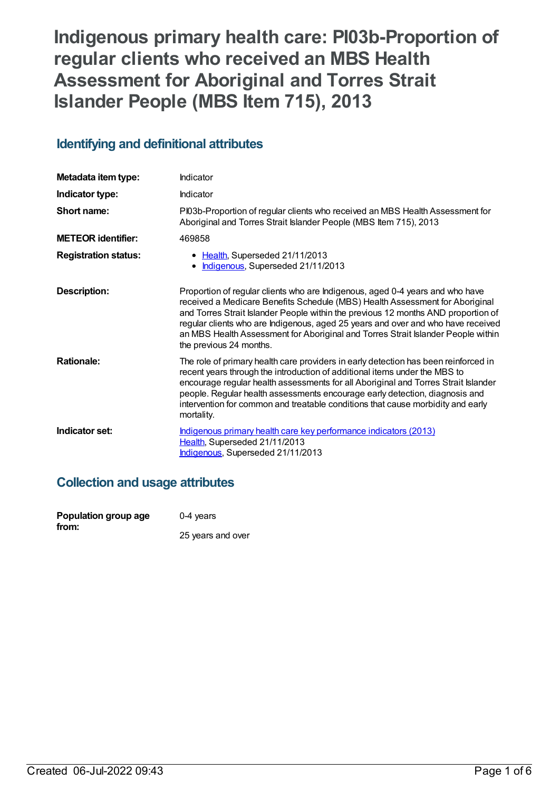# **Indigenous primary health care: PI03b-Proportion of regular clients who received an MBS Health Assessment for Aboriginal and Torres Strait Islander People (MBS Item 715), 2013**

## **Identifying and definitional attributes**

| Metadata item type:         | Indicator                                                                                                                                                                                                                                                                                                                                                                                                                                             |
|-----------------------------|-------------------------------------------------------------------------------------------------------------------------------------------------------------------------------------------------------------------------------------------------------------------------------------------------------------------------------------------------------------------------------------------------------------------------------------------------------|
| Indicator type:             | Indicator                                                                                                                                                                                                                                                                                                                                                                                                                                             |
| Short name:                 | PI03b-Proportion of regular clients who received an MBS Health Assessment for<br>Aboriginal and Torres Strait Islander People (MBS Item 715), 2013                                                                                                                                                                                                                                                                                                    |
| <b>METEOR identifier:</b>   | 469858                                                                                                                                                                                                                                                                                                                                                                                                                                                |
| <b>Registration status:</b> | • Health, Superseded 21/11/2013<br>Indigenous, Superseded 21/11/2013                                                                                                                                                                                                                                                                                                                                                                                  |
| Description:                | Proportion of regular clients who are Indigenous, aged 0-4 years and who have<br>received a Medicare Benefits Schedule (MBS) Health Assessment for Aboriginal<br>and Torres Strait Islander People within the previous 12 months AND proportion of<br>regular clients who are Indigenous, aged 25 years and over and who have received<br>an MBS Health Assessment for Aboriginal and Torres Strait Islander People within<br>the previous 24 months. |
| <b>Rationale:</b>           | The role of primary health care providers in early detection has been reinforced in<br>recent years through the introduction of additional items under the MBS to<br>encourage regular health assessments for all Aboriginal and Torres Strait Islander<br>people. Regular health assessments encourage early detection, diagnosis and<br>intervention for common and treatable conditions that cause morbidity and early<br>mortality.               |
| Indicator set:              | Indigenous primary health care key performance indicators (2013)<br>Health, Superseded 21/11/2013<br>Indigenous, Superseded 21/11/2013                                                                                                                                                                                                                                                                                                                |

## **Collection and usage attributes**

| Population group age | $0-4$ years       |
|----------------------|-------------------|
| from:                | 25 years and over |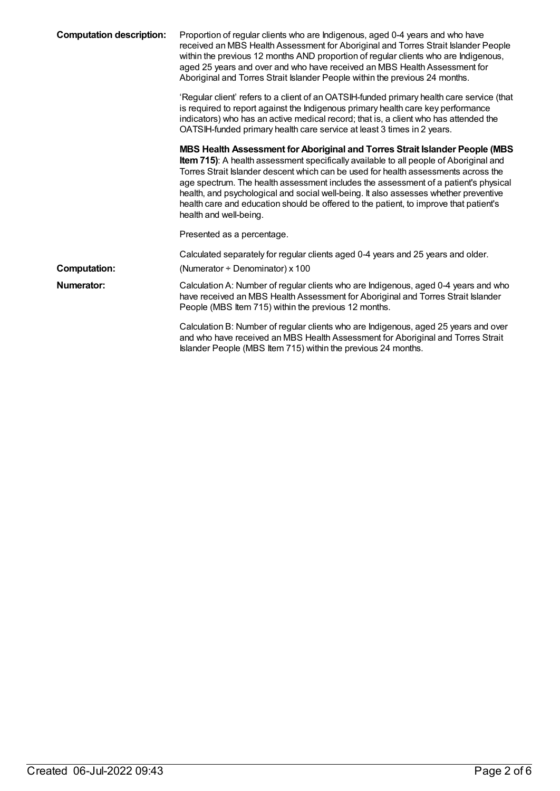| <b>Computation description:</b> | Proportion of regular clients who are Indigenous, aged 0-4 years and who have<br>received an MBS Health Assessment for Aboriginal and Torres Strait Islander People<br>within the previous 12 months AND proportion of regular clients who are Indigenous,<br>aged 25 years and over and who have received an MBS Health Assessment for<br>Aboriginal and Torres Strait Islander People within the previous 24 months.                                                                                                                                       |
|---------------------------------|--------------------------------------------------------------------------------------------------------------------------------------------------------------------------------------------------------------------------------------------------------------------------------------------------------------------------------------------------------------------------------------------------------------------------------------------------------------------------------------------------------------------------------------------------------------|
|                                 | 'Regular client' refers to a client of an OATSIH-funded primary health care service (that<br>is required to report against the Indigenous primary health care key performance<br>indicators) who has an active medical record; that is, a client who has attended the<br>OATSIH-funded primary health care service at least 3 times in 2 years.                                                                                                                                                                                                              |
|                                 | MBS Health Assessment for Aboriginal and Torres Strait Islander People (MBS<br>Item 715): A health assessment specifically available to all people of Aboriginal and<br>Torres Strait Islander descent which can be used for health assessments across the<br>age spectrum. The health assessment includes the assessment of a patient's physical<br>health, and psychological and social well-being. It also assesses whether preventive<br>health care and education should be offered to the patient, to improve that patient's<br>health and well-being. |
|                                 | Presented as a percentage.                                                                                                                                                                                                                                                                                                                                                                                                                                                                                                                                   |
|                                 | Calculated separately for regular clients aged 0-4 years and 25 years and older.                                                                                                                                                                                                                                                                                                                                                                                                                                                                             |
| <b>Computation:</b>             | (Numerator $\div$ Denominator) x 100                                                                                                                                                                                                                                                                                                                                                                                                                                                                                                                         |
| Numerator:                      | Calculation A: Number of regular clients who are Indigenous, aged 0-4 years and who<br>have received an MBS Health Assessment for Aboriginal and Torres Strait Islander<br>People (MBS Item 715) within the previous 12 months.                                                                                                                                                                                                                                                                                                                              |
|                                 | Calculation B: Number of regular clients who are Indigenous, aged 25 years and over<br>and who have received an MBS Health Assessment for Aboriginal and Torres Strait<br>Islander People (MBS Item 715) within the previous 24 months.                                                                                                                                                                                                                                                                                                                      |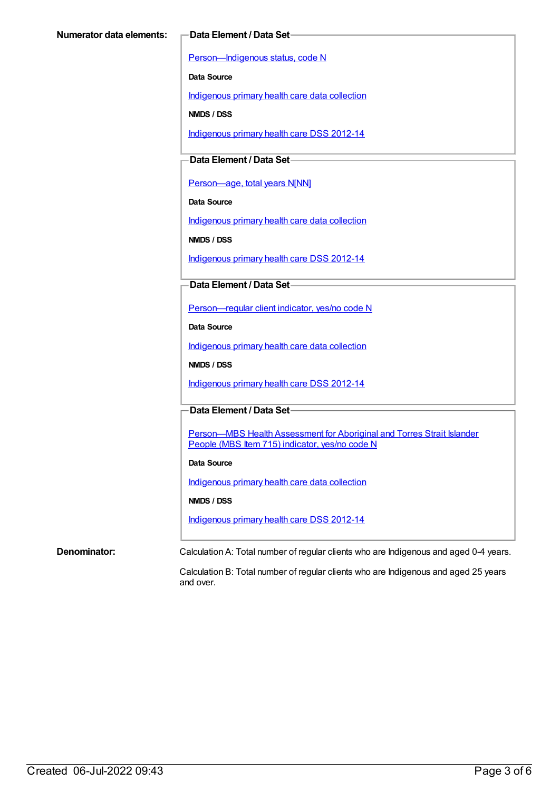[Person—Indigenous](https://meteor.aihw.gov.au/content/291036) status, code N

**Data Source**

[Indigenous](https://meteor.aihw.gov.au/content/430643) primary health care data collection

**NMDS / DSS**

[Indigenous](https://meteor.aihw.gov.au/content/430629) primary health care DSS 2012-14

**Data Element / Data Set**

[Person—age,](https://meteor.aihw.gov.au/content/303794) total years N[NN]

**Data Source**

[Indigenous](https://meteor.aihw.gov.au/content/430643) primary health care data collection

**NMDS / DSS**

[Indigenous](https://meteor.aihw.gov.au/content/430629) primary health care DSS 2012-14

**Data Element / Data Set**

[Person—regular](https://meteor.aihw.gov.au/content/436639) client indicator, yes/no code N

**Data Source**

[Indigenous](https://meteor.aihw.gov.au/content/430643) primary health care data collection

**NMDS / DSS**

[Indigenous](https://meteor.aihw.gov.au/content/430629) primary health care DSS 2012-14

**Data Element / Data Set**

Person-MBS Health Assessment for Aboriginal and Torres Strait Islander People (MBS Item 715) indicator, yes/no code N

#### **Data Source**

[Indigenous](https://meteor.aihw.gov.au/content/430643) primary health care data collection

**NMDS / DSS**

[Indigenous](https://meteor.aihw.gov.au/content/430629) primary health care DSS 2012-14

**Denominator:** Calculation A: Total number of regular clients who are Indigenous and aged 0-4 years.

Calculation B: Total number of regular clients who are Indigenous and aged 25 years and over.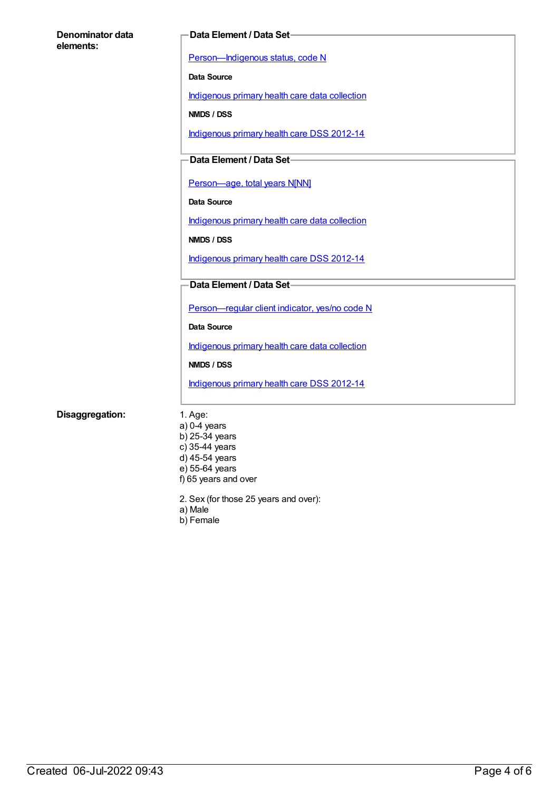| Denominator data<br>elements: | <b>Data Element / Data Set-</b>                |
|-------------------------------|------------------------------------------------|
|                               | Person-Indigenous status, code N               |
|                               | <b>Data Source</b>                             |
|                               | Indigenous primary health care data collection |
|                               | NMDS / DSS                                     |
|                               | Indigenous primary health care DSS 2012-14     |
|                               | Data Element / Data Set-                       |
|                               |                                                |
|                               | Person-age, total years N[NN]                  |
|                               | <b>Data Source</b>                             |
|                               | Indigenous primary health care data collection |
|                               | NMDS / DSS                                     |
|                               | Indigenous primary health care DSS 2012-14     |
|                               | Data Element / Data Set-                       |
|                               |                                                |
|                               | Person-regular client indicator, yes/no code N |
|                               | Data Source                                    |
|                               | Indigenous primary health care data collection |
|                               | NMDS / DSS                                     |
|                               | Indigenous primary health care DSS 2012-14     |

### **Disaggregation:** 1. Age:

a) 0-4 years b) 25-34 years c) 35-44 years d) 45-54 years e) 55-64 years f) 65 years and over

2. Sex (for those 25 years and over):

a) Male

b) Female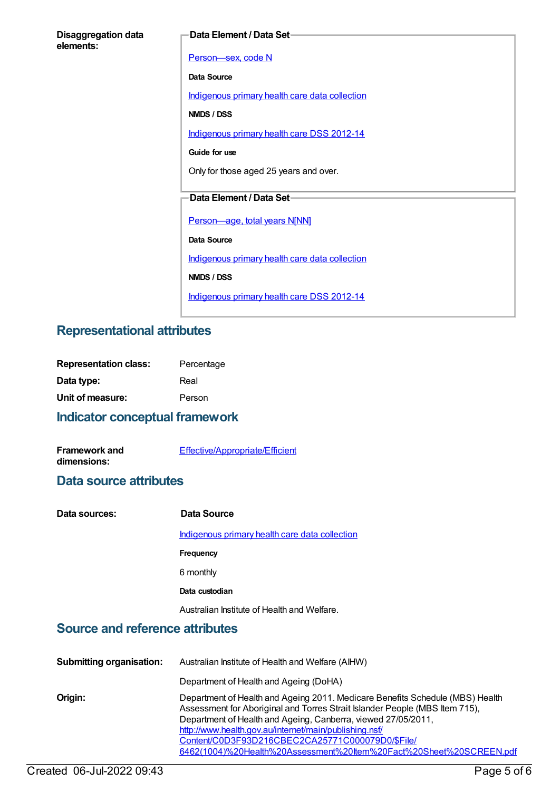| <b>Disaggregation data</b> |  |
|----------------------------|--|
| elements:                  |  |

#### **Data Element / Data Set**

[Person—sex,](https://meteor.aihw.gov.au/content/287316) code N **Data Source** [Indigenous](https://meteor.aihw.gov.au/content/430643) primary health care data collection **NMDS / DSS** [Indigenous](https://meteor.aihw.gov.au/content/430629) primary health care DSS 2012-14 **Guide for use** Only for those aged 25 years and over. **Data Element / Data Set** [Person—age,](https://meteor.aihw.gov.au/content/303794) total years N[NN] **Data Source** [Indigenous](https://meteor.aihw.gov.au/content/430643) primary health care data collection **NMDS / DSS** [Indigenous](https://meteor.aihw.gov.au/content/430629) primary health care DSS 2012-14

## **Representational attributes**

| <b>Representation class:</b> | Percentage |
|------------------------------|------------|
| Data type:                   | Real       |
| Unit of measure:             | Person     |

## **Indicator conceptual framework**

| <b>Framework and</b> | Effective/Appropriate/Efficient |
|----------------------|---------------------------------|
| dimensions:          |                                 |

### **Data source attributes**

| Data sources: | Data Source                                    |
|---------------|------------------------------------------------|
|               | Indigenous primary health care data collection |
|               | Frequency                                      |
|               | 6 monthly                                      |
|               | Data custodian                                 |
|               | Australian Institute of Health and Welfare.    |

## **Source and reference attributes**

| <b>Submitting organisation:</b> | Australian Institute of Health and Welfare (AIHW)                                                                                                                                                                                                                                                                                                                                                                  |
|---------------------------------|--------------------------------------------------------------------------------------------------------------------------------------------------------------------------------------------------------------------------------------------------------------------------------------------------------------------------------------------------------------------------------------------------------------------|
|                                 | Department of Health and Ageing (DoHA)                                                                                                                                                                                                                                                                                                                                                                             |
| Origin:                         | Department of Health and Ageing 2011. Medicare Benefits Schedule (MBS) Health<br>Assessment for Aboriginal and Torres Strait Islander People (MBS Item 715),<br>Department of Health and Ageing, Canberra, viewed 27/05/2011,<br>http://www.health.gov.au/internet/main/publishing.nsf/<br>Content/C0D3F93D216CBEC2CA25771C000079D0/\$File/<br>6462(1004)%20Health%20Assessment%20ttem%20Fact%20Sheet%20SCREEN.pdf |